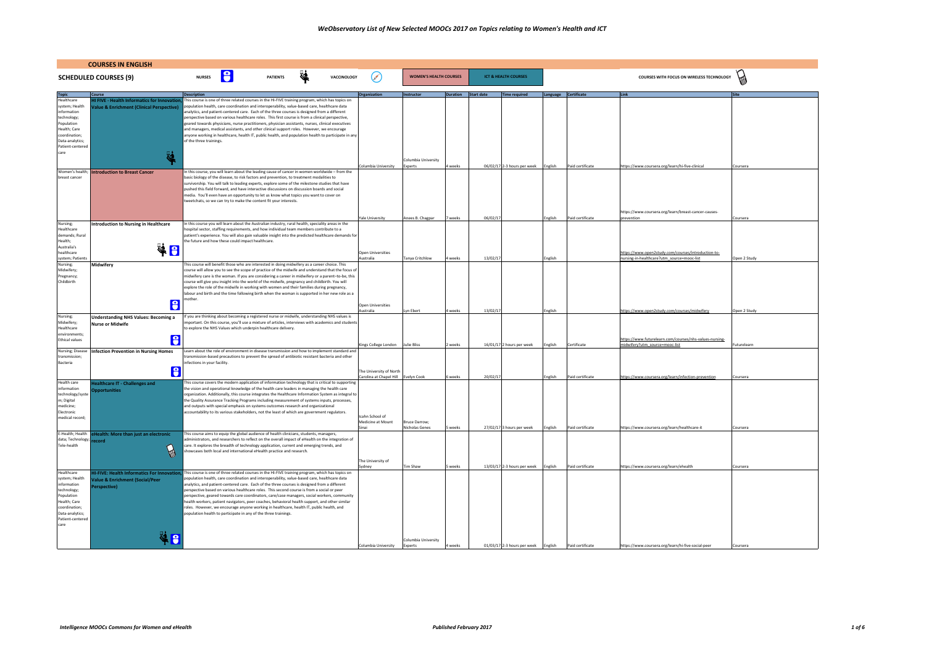|                                                                                                                                                          | <b>COURSES IN ENGLISH</b>                                                                         |                              |                                                                                                                                                                                                                                                                                                                                                                                                                                                                                                                                                                                                                                                                                                                                                                |                 |   |             |                                                                |                                        |                            |          |                                     |                      |                  |                                                                                                  |              |
|----------------------------------------------------------------------------------------------------------------------------------------------------------|---------------------------------------------------------------------------------------------------|------------------------------|----------------------------------------------------------------------------------------------------------------------------------------------------------------------------------------------------------------------------------------------------------------------------------------------------------------------------------------------------------------------------------------------------------------------------------------------------------------------------------------------------------------------------------------------------------------------------------------------------------------------------------------------------------------------------------------------------------------------------------------------------------------|-----------------|---|-------------|----------------------------------------------------------------|----------------------------------------|----------------------------|----------|-------------------------------------|----------------------|------------------|--------------------------------------------------------------------------------------------------|--------------|
|                                                                                                                                                          |                                                                                                   |                              |                                                                                                                                                                                                                                                                                                                                                                                                                                                                                                                                                                                                                                                                                                                                                                |                 |   |             |                                                                |                                        |                            |          |                                     |                      |                  |                                                                                                  |              |
|                                                                                                                                                          | <b>SCHEDULED COURSES (9)</b>                                                                      | <b>NURSES</b>                | 18                                                                                                                                                                                                                                                                                                                                                                                                                                                                                                                                                                                                                                                                                                                                                             | <b>PATIENTS</b> | 硅 | VACCINOLOGY | $\curvearrowright$                                             | <b>WOMEN'S HEALTH COURSES</b>          |                            |          | <b>ICT &amp; HEALTH COURSES</b>     |                      |                  | COURSES WITH FOCUS ON WIRELESS TECHNOLOGY                                                        |              |
| <b>Topic</b>                                                                                                                                             | Course                                                                                            | <b>Description</b>           |                                                                                                                                                                                                                                                                                                                                                                                                                                                                                                                                                                                                                                                                                                                                                                |                 |   |             | Organization                                                   | Instructor                             | <b>Duration</b> Start date |          | Time required                       | Language Certificate |                  |                                                                                                  |              |
| Healthcare<br>system; Health<br>information<br>technology;<br>Population<br>Health; Care<br>coordination:<br>Data-analytics;<br>Patient-centered<br>care | <b>IFIVE - Health Informatics for Innovation</b><br>alue & Enrichment (Clinical Perspective)<br>ų | of the three trainings.      | his course is one of three related courses in the HI-FIVE training program, which has topics on<br>population health, care coordination and interoperability, value-based care, healthcare data<br>analytics, and patient-centered care. Each of the three courses is designed from a different<br>perspective based on various healthcare roles. This first course is from a clinical perspective,<br>geared towards physicians, nurse practitioners, physician assistants, nurses, clinical executives<br>and managers, medical assistants, and other clinical support roles. However, we encourage<br>anyone working in healthcare, health IT, public health, and population health to participate in any                                                   |                 |   |             | Columbia University Experts                                    | Columbia University                    | weeks                      |          | 06/02/17 2-3 hours per week         | English              | Paid certificate | https://www.coursera.org/learn/hi-five-clinical                                                  | Coursera     |
| Women's health;                                                                                                                                          | <b>Introduction to Breast Cancer</b>                                                              |                              | In this course, you will learn about the leading cause of cancer in women worldwide - from the                                                                                                                                                                                                                                                                                                                                                                                                                                                                                                                                                                                                                                                                 |                 |   |             |                                                                |                                        |                            |          |                                     |                      |                  |                                                                                                  |              |
| breast cancer                                                                                                                                            |                                                                                                   |                              | basic biology of the disease, to risk factors and prevention, to treatment modalities to<br>survivorship. You will talk to leading experts, explore some of the milestone studies that have<br>pushed this field forward, and have interactive discussions on discussion boards and social<br>media. You'll even have an opportunity to let us know what topics you want to cover on<br>tweetchats, so we can try to make the content fit your interests.                                                                                                                                                                                                                                                                                                      |                 |   |             |                                                                |                                        |                            |          |                                     |                      |                  | https://www.coursera.org/learn/breast-cancer-causes-                                             |              |
| Nursing:                                                                                                                                                 | <b>Introduction to Nursing in Healthcare</b>                                                      |                              | In this course you will learn about the Australian industry, rural health, speciality areas in the                                                                                                                                                                                                                                                                                                                                                                                                                                                                                                                                                                                                                                                             |                 |   |             | ale University                                                 | Anees B. Chagpar                       | 7 weeks                    | 06/02/17 |                                     | English              | Paid certificate | revention                                                                                        | Coursera     |
| Healthcare<br>demands; Rural<br>Health;<br>Australia's<br>healthcare<br>system; Patients<br>Nursing;                                                     | 40<br>Midwiferv                                                                                   |                              | ospital sector, staffing requirements, and how individual team members contribute to a<br>patient's experience. You will also gain valuable insight into the predicted healthcare demands for<br>the future and how these could impact healthcare.<br>This course will benefit those who are interested in doing midwifery as a career choice. This                                                                                                                                                                                                                                                                                                                                                                                                            |                 |   |             | Open Universities<br>Australia                                 | <b>Tanva Critchlow</b>                 | 1 weeks                    | 13/02/17 |                                     | English              |                  | https://www.open2study.com/courses/introduction-to-<br>ursing-in-healthcare?utm_source=mooc-list | Open 2 Study |
| Midwiferv:<br>Pregnancy;<br>Childbirth                                                                                                                   | l e                                                                                               | nother                       | course will allow you to see the scope of practice of the midwife and understand that the focus o<br>nidwifery care is the woman. If you are considering a career in midwifery or a parent-to-be, this<br>course will give you insight into the world of the midwife, pregnancy and childbirth. You will<br>explore the role of the midwife in working with women and their families during pregnancy,<br>labour and birth and the time following birth when the woman is supported in her new role as a                                                                                                                                                                                                                                                       |                 |   |             | Open Universities                                              |                                        |                            |          |                                     |                      |                  |                                                                                                  |              |
| Nursing:                                                                                                                                                 | <b>Understanding NHS Values: Becoming a</b>                                                       |                              | If you are thinking about becoming a registered nurse or midwife, understanding NHS values is                                                                                                                                                                                                                                                                                                                                                                                                                                                                                                                                                                                                                                                                  |                 |   |             | Australia                                                      | Ivn Fhert                              | 1 weeks                    | 13/02/17 |                                     | English              |                  | ttps://www.open2study.com/courses/midwifery                                                      | Onen 2 Study |
| Midwiferv:<br>Healthcare<br>environments:<br><b>Ethical values</b>                                                                                       | <b>Nurse or Midwife</b><br>8                                                                      |                              | mportant. On this course, you'll use a mixture of articles, interviews with academics and student<br>o explore the NHS Values which underpin healthcare delivery.<br>Learn about the role of environment in disease transmission and how to implement standard and                                                                                                                                                                                                                                                                                                                                                                                                                                                                                             |                 |   |             | Kings College London                                           | <b>Julie Bliss</b>                     | weeks                      |          | 16/01/17 2 hours per week           | English              | Certificate      | https://www.futurelearn.com/courses/nhs-values-nursing-<br>dwifery?utm_source=mooc-list          | Futurelearn  |
| Nursing; Disease<br>transmission:<br>Bacteria                                                                                                            | <b>Infection Prevention in Nursing Homes</b>                                                      | infections in your facility. | ransmission-based precautions to prevent the spread of antibiotic resistant bacteria and other                                                                                                                                                                                                                                                                                                                                                                                                                                                                                                                                                                                                                                                                 |                 |   |             |                                                                |                                        |                            |          |                                     |                      |                  |                                                                                                  |              |
|                                                                                                                                                          | 8                                                                                                 |                              |                                                                                                                                                                                                                                                                                                                                                                                                                                                                                                                                                                                                                                                                                                                                                                |                 |   |             | The University of North<br>Carolina at Chapel Hill Evelyn Cook |                                        | weeks                      | 20/02/17 |                                     | English              | Paid certificate | https://www.coursera.org/learn/infection-prevention                                              | Coursera     |
| <b>Health care</b><br>information<br>technology/syste<br>m; Digital<br>medicine:<br>Electronic<br>medical record:                                        | ealthcare IT - Challenges and<br>pportunities                                                     |                              | This course covers the modern application of information technology that is critical to supporting<br>the vision and operational knowledge of the health care leaders in managing the health care<br>organization. Additionally, this course integrates the Healthcare Information System as integral to<br>the Quality Assurance Tracking Programs including measurement of systems inputs, processes,<br>and outputs with special emphasis on systems outcomes research and organizational<br>accountability to its various stakeholders, not the least of which are government regulators.                                                                                                                                                                  |                 |   |             | Icahn School of<br>Medicine at Mount<br>Sinai                  | <b>Bruce Darrow;</b><br>Nicholas Genes | weeks                      |          | 27/02/17 3 hours per week           | English              | Paid certificate | https://www.coursera.org/learn/healthcare-it                                                     | Coursera     |
| E-Health: Health<br>data; Technology;<br>Tele-health                                                                                                     | Health: More than just an electronic<br><b>cord</b><br>$\theta$                                   |                              | This course aims to equip the global audience of health clinicians, students, managers,<br>dministrators, and researchers to reflect on the overall impact of eHealth on the integration of<br>care. It explores the breadth of technology application, current and emerging trends, and<br>howcases both local and international eHealth practice and research.                                                                                                                                                                                                                                                                                                                                                                                               |                 |   |             | The University of<br>vdnev                                     | Tim Shaw                               | weeks                      |          | 13/03/17 2-3 hours per week English |                      | Paid certificate | https://www.coursera.org/learn/ehealth                                                           | Coursera     |
| Healthcare<br>system: Health<br>information<br>technology;<br>Population<br>Health: Care<br>coordination;<br>Data-analytics:<br>Patient-centered<br>care | <b>I-FIVE: Health Informatics For Innovation</b><br>alue & Enrichment (Social/Peer<br>erspective) |                              | This course is one of three related courses in the HI-FIVE training program, which has topics on<br>opulation health. care coordination and interoperability, value-based care, healthcare data<br>analytics, and patient-centered care. Each of the three courses is designed from a different<br>perspective based on various healthcare roles. This second course is from a social or peer<br>perspective, geared towards care coordinators, care/case managers, social workers, community<br>health workers, patient navigators, peer coaches, behavioral health support, and other similar<br>roles. However, we encourage anyone working in healthcare, health IT, public health, and<br>population health to participate in any of the three trainings. |                 |   |             | Columbia University Experts                                    | Columbia University                    | 4 weeks                    |          | 01/03/17 2-3 hours per week         | English              | Paid certificate | https://www.coursera.org/learn/hi-five-social-peer                                               | Coursera     |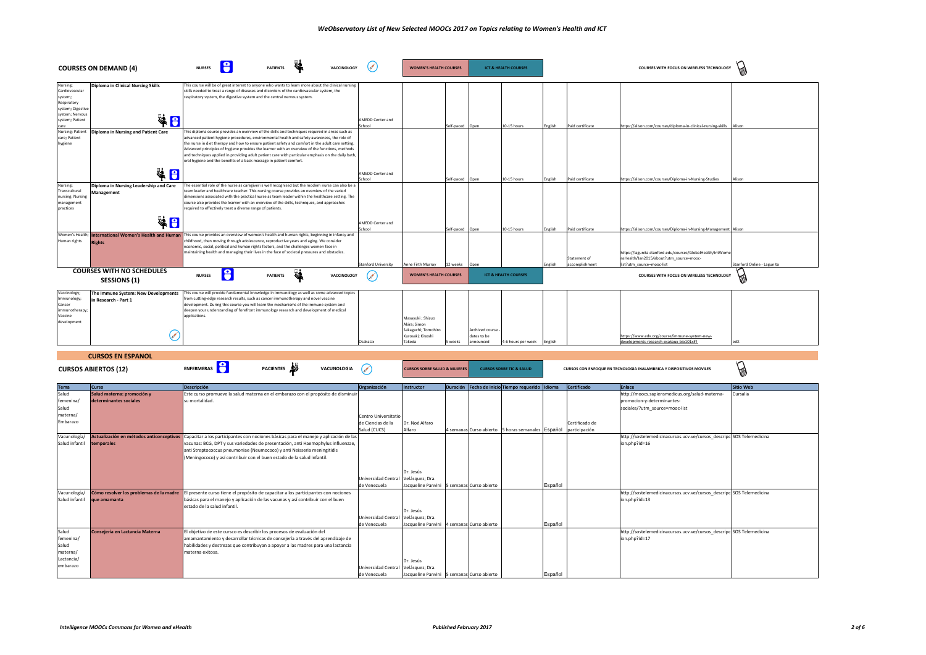|                                                                                   | <b>COURSES ON DEMAND (4)</b>                                | 18<br><b>NURSES</b>                                                                                                                                                                                                                                                                                                                                                                                                                                                                                                                                                                | <b>PATIENTS</b>        | VACCINOLOGY        |                            | <b>WOMEN'S HEALTH COURSES</b>                            |                 |                          | <b>ICT &amp; HEALTH COURSES</b> |         |                                | COURSES WITH FOCUS ON WIRELESS TECHNOLOGY                                                                                          |                            |
|-----------------------------------------------------------------------------------|-------------------------------------------------------------|------------------------------------------------------------------------------------------------------------------------------------------------------------------------------------------------------------------------------------------------------------------------------------------------------------------------------------------------------------------------------------------------------------------------------------------------------------------------------------------------------------------------------------------------------------------------------------|------------------------|--------------------|----------------------------|----------------------------------------------------------|-----------------|--------------------------|---------------------------------|---------|--------------------------------|------------------------------------------------------------------------------------------------------------------------------------|----------------------------|
| Nursing;<br>Cardiovascular<br>system;<br>Respiratory<br>system; Digestive         | <b>Diploma in Clinical Nursing Skills</b>                   | This course will be of great interest to anyone who wants to learn more about the clinical nursing<br>skills needed to treat a range of diseases and disorders of the cardiovascular system, the<br>respiratory system, the digestive system and the central nervous system.                                                                                                                                                                                                                                                                                                       |                        |                    |                            |                                                          |                 |                          |                                 |         |                                |                                                                                                                                    |                            |
| system; Nervous<br>system; Patient<br>care                                        | ¥8                                                          |                                                                                                                                                                                                                                                                                                                                                                                                                                                                                                                                                                                    |                        |                    | AMEDD Center and<br>School |                                                          | Self-paced Open |                          | 10-15 hours                     | English | Paid certificate               | https://alison.com/courses/diploma-in-clinical-nursing-skills Alison                                                               |                            |
| Nursing; Patient<br>care; Patient<br>hygiene                                      | Diploma in Nursing and Patient Care                         | This diploma course provides an overview of the skills and techniques required in areas such as<br>advanced patient hygiene procedures, environmental health and safety awareness, the role of<br>the nurse in diet therapy and how to ensure patient safety and comfort in the adult care setting.<br>Advanced principles of hygiene provides the learner with an overview of the functions, methods<br>and techniques applied in providing adult patient care with particular emphasis on the daily bath,<br>oral hygiene and the benefits of a back massage in patient comfort. |                        |                    |                            |                                                          |                 |                          |                                 |         |                                |                                                                                                                                    |                            |
|                                                                                   | 40                                                          |                                                                                                                                                                                                                                                                                                                                                                                                                                                                                                                                                                                    |                        |                    | AMEDD Center and<br>School |                                                          | Self-paced Open |                          | 10-15 hours                     | English | Paid certificate               | https://alison.com/courses/Diploma-in-Nursing-Studies                                                                              | Alison                     |
| Nursing;<br>Transcultural<br>nursing; Nursing<br>management<br>practices          | Diploma in Nursing Leadership and Care<br><b>Management</b> | The essential role of the nurse as caregiver is well recognised but the modern nurse can also be a<br>team leader and healthcare teacher. This nursing course provides an overview of the varied<br>dimensions associated with the practical nurse as team leader within the healthcare setting. The<br>course also provides the learner with an overview of the skills, techniques, and approaches<br>required to effectively treat a diverse range of patients.                                                                                                                  |                        |                    |                            |                                                          |                 |                          |                                 |         |                                |                                                                                                                                    |                            |
|                                                                                   | 48                                                          |                                                                                                                                                                                                                                                                                                                                                                                                                                                                                                                                                                                    |                        |                    | AMEDD Center and<br>School |                                                          | Self-paced Open |                          | 10-15 hours                     | English | Paid certificate               | https://alison.com/courses/Diploma-in-Nursing-Management Alison                                                                    |                            |
| Women's Health:<br>Human rights                                                   | International Women's Health and Human<br><b>Rights</b>     | This course provides an overview of women's health and human rights, beginning in infancy and<br>childhood, then moving through adolescence, reproductive years and aging. We consider<br>economic, social, political and human rights factors, and the challenges women face in<br>maintaining health and managing their lives in the face of societal pressures and obstacles.                                                                                                                                                                                                   |                        |                    | <b>Stanford University</b> | Anne Firth Murray                                        | 12 weeks        | Open                     |                                 | English | Statement of<br>accomplishment | https://lagunita.stanford.edu/courses/GlobalHealth/IntWome<br>nsHealth/Jan2015/about?utm_source=mooc-<br>list?utm_source=mooc-list | Stanford Online - Lagunita |
|                                                                                   | <b>COURSES WITH NO SCHEDULES</b><br><b>SESSIONS (1)</b>     | 18<br><b>NURSES</b>                                                                                                                                                                                                                                                                                                                                                                                                                                                                                                                                                                | -32<br><b>PATIENTS</b> | <b>VACCINOLOGY</b> | €                          | <b>WOMEN'S HEALTH COURSES</b>                            |                 |                          | <b>ICT &amp; HEALTH COURSES</b> |         |                                | COURSES WITH FOCUS ON WIRELESS TECHNOLOGY                                                                                          |                            |
| Vaccinology;<br>Immunology;<br>Cancer<br>immunotherapy;<br>Vaccine<br>development | The Immune System: New Developments<br>in Research - Part 1 | This course will provide fundamental knowledge in immunology as well as some advanced topics<br>from cutting-edge research results, such as cancer immunotherapy and novel vaccine<br>development. During this course you will learn the mechanisms of the immune system and<br>deepen your understanding of forefront immunology research and development of medical<br>applications.                                                                                                                                                                                             |                        |                    |                            | Masayuki ; Shizuo<br>Akira: Simon<br>Sakaguchi; Tomohiro |                 | Archived course          |                                 |         |                                |                                                                                                                                    |                            |
|                                                                                   | Þ                                                           |                                                                                                                                                                                                                                                                                                                                                                                                                                                                                                                                                                                    |                        |                    | OsakaUx                    | Kurosaki; Kiyoshi<br>Takeda                              | 5 weeks         | dates to be<br>announced | 4-6 hours per week              | English |                                | https://www.edx.org/course/immune-system-new-<br>developments-research-osakaux-bio101x#!                                           | edX                        |
|                                                                                   | <b>CURSOS EN ESPANOL</b>                                    |                                                                                                                                                                                                                                                                                                                                                                                                                                                                                                                                                                                    |                        |                    |                            |                                                          |                 |                          |                                 |         |                                |                                                                                                                                    |                            |

| <b>CURSOS ABIERTOS (12)</b> |                                         | ENFERMERAS<br><b>PACIENTES</b><br>VACUNOLOGIA                                                                                  |                                     | <b>CURSOS SOBRE SALUD &amp; MUJERES</b>    |  |  | <b>CURSOS SOBRE TIC &amp; SALUD</b>                             |         | <b>CURSOS CON ENFOQUE EN TECNOLOGIA INALAMBRICA Y DISPOSITIVOS MOVILES</b> | É                                                                    |                  |
|-----------------------------|-----------------------------------------|--------------------------------------------------------------------------------------------------------------------------------|-------------------------------------|--------------------------------------------|--|--|-----------------------------------------------------------------|---------|----------------------------------------------------------------------------|----------------------------------------------------------------------|------------------|
| <b>Tema</b>                 | <b>Curso</b>                            | <b>Descripción</b>                                                                                                             | Organización                        | Instructor                                 |  |  | Duración Fecha de inicio Tiempo requerido Idioma                |         | Certificado                                                                | Enlace                                                               | <b>Sitio Web</b> |
| Salud                       | Salud materna: promoción y              | Este curso promueve la salud materna en el embarazo con el propósito de disminuir                                              |                                     |                                            |  |  |                                                                 |         |                                                                            | http://moocs.sapiensmedicus.org/salud-materna-                       | Cursalia         |
| femenina/                   | determinantes sociales                  | su mortalidad                                                                                                                  |                                     |                                            |  |  |                                                                 |         |                                                                            | promocion-y-determinantes-                                           |                  |
| Salud                       |                                         |                                                                                                                                |                                     |                                            |  |  |                                                                 |         |                                                                            | sociales/?utm_source=mooc-list                                       |                  |
| materna/                    |                                         |                                                                                                                                | Centro Universitatio                |                                            |  |  |                                                                 |         |                                                                            |                                                                      |                  |
| Embarazo                    |                                         |                                                                                                                                | de Ciencias de la                   | Dr. Noé Alfaro                             |  |  |                                                                 |         | Certificado de                                                             |                                                                      |                  |
|                             |                                         |                                                                                                                                | Salud (CUCS)                        | Alfaro                                     |  |  | 4 semanas Curso abierto 5 horas semanales Español participación |         |                                                                            |                                                                      |                  |
| Vacunología/                |                                         | Actualización en métodos anticonceptivos Capacitar a los participantes con nociones básicas para el manejo y aplicación de las |                                     |                                            |  |  |                                                                 |         |                                                                            | http://sostelemedicinacursos.ucv.ve/cursos_descripc SOS Telemedicina |                  |
| Salud infantil              | temporales                              | vacunas: BCG, DPT y sus variedades de presentación, anti Haemophylus influenzae,                                               |                                     |                                            |  |  |                                                                 |         |                                                                            | ion.php?id=16                                                        |                  |
|                             |                                         | anti Streptococcus pneumoniae (Neumococo) y anti Neisseria meningitidis                                                        |                                     |                                            |  |  |                                                                 |         |                                                                            |                                                                      |                  |
|                             |                                         | (Meningococo) y así contribuir con el buen estado de la salud infantil.                                                        |                                     |                                            |  |  |                                                                 |         |                                                                            |                                                                      |                  |
|                             |                                         |                                                                                                                                |                                     |                                            |  |  |                                                                 |         |                                                                            |                                                                      |                  |
|                             |                                         |                                                                                                                                |                                     | Dr. Jesús                                  |  |  |                                                                 |         |                                                                            |                                                                      |                  |
|                             |                                         |                                                                                                                                | Universidad Central Velásquez; Dra. |                                            |  |  |                                                                 |         |                                                                            |                                                                      |                  |
|                             |                                         |                                                                                                                                | de Venezuela                        | Jacqueline Panvini 5 semanas Curso abierto |  |  |                                                                 | Español |                                                                            |                                                                      |                  |
| Vacunología/                | Cómo resolver los problemas de la madre | El presente curso tiene el propósito de capacitar a los participantes con nociones                                             |                                     |                                            |  |  |                                                                 |         |                                                                            | http://sostelemedicinacursos.ucv.ve/cursos_descripc SOS Telemedicina |                  |
| Salud infantil              | que amamanta                            | básicas para el manejo y aplicación de las vacunas y así contribuir con el buen                                                |                                     |                                            |  |  |                                                                 |         |                                                                            | ion.php?id=13                                                        |                  |
|                             |                                         | estado de la salud infantil.                                                                                                   |                                     | Dr. Jesús                                  |  |  |                                                                 |         |                                                                            |                                                                      |                  |
|                             |                                         |                                                                                                                                | Universidad Central Velásquez; Dra. |                                            |  |  |                                                                 |         |                                                                            |                                                                      |                  |
|                             |                                         |                                                                                                                                | de Venezuela                        | Jacqueline Panvini 4 semanas Curso abierto |  |  |                                                                 | Español |                                                                            |                                                                      |                  |
| Salud                       | Consejería en Lactancia Materna         | El objetivo de este cursco es describir los procesos de evaluación del                                                         |                                     |                                            |  |  |                                                                 |         |                                                                            | http://sostelemedicinacursos.ucv.ve/cursos_descripc SOS Telemedicina |                  |
| femenina/                   |                                         | amamantamiento y desarrollar técnicas de consejería a través del aprendizaje de                                                |                                     |                                            |  |  |                                                                 |         |                                                                            | ion.php?id=17                                                        |                  |
| Salud                       |                                         | habilidades y destrezas que contribuyan a apoyar a las madres para una lactancia                                               |                                     |                                            |  |  |                                                                 |         |                                                                            |                                                                      |                  |
| materna/                    |                                         | materna exitosa.                                                                                                               |                                     |                                            |  |  |                                                                 |         |                                                                            |                                                                      |                  |
| Lactancia/                  |                                         |                                                                                                                                |                                     | Dr. Jesús                                  |  |  |                                                                 |         |                                                                            |                                                                      |                  |
| embarazo                    |                                         |                                                                                                                                | Universidad Central Velásquez; Dra. |                                            |  |  |                                                                 |         |                                                                            |                                                                      |                  |
|                             |                                         |                                                                                                                                | de Venezuela                        | Jacqueline Panvini 5 semanas Curso abierto |  |  |                                                                 | Español |                                                                            |                                                                      |                  |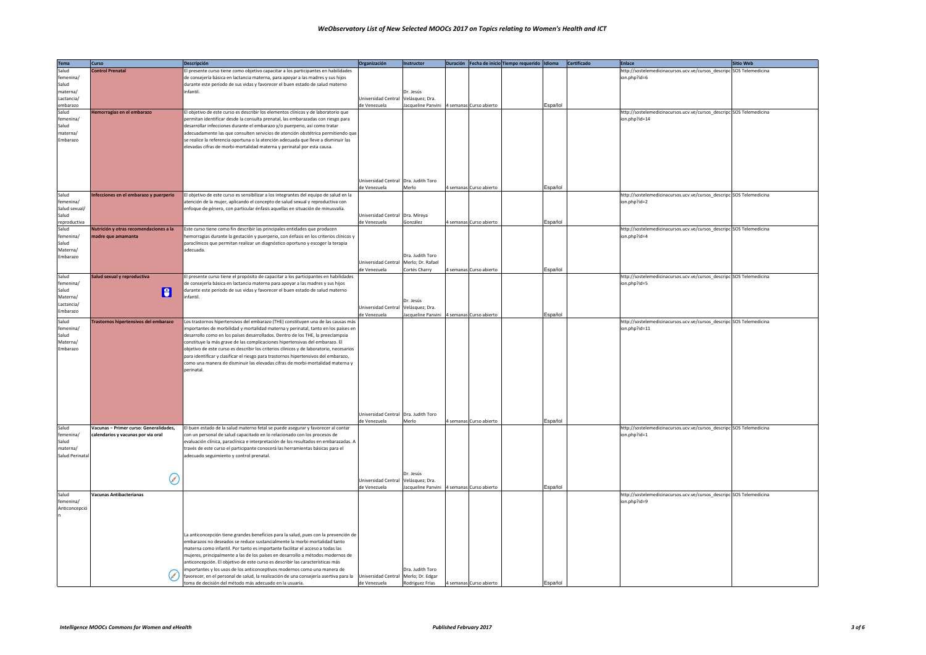## *WeObservatory List of New Selected MOOCs 2017 on Topics relating to Women's Health and ICT*

| <b>Tema</b>    | Curso                                  | Descripción                                                                                                                | Organización                                         | Instructor                                 |                         | Duración Fecha de inicio Tiempo requerido Idioma |         | Certificado | Enlace                                                               | <b>Sitio Web</b> |
|----------------|----------------------------------------|----------------------------------------------------------------------------------------------------------------------------|------------------------------------------------------|--------------------------------------------|-------------------------|--------------------------------------------------|---------|-------------|----------------------------------------------------------------------|------------------|
| Salud          | <b>Control Prenatal</b>                | El presente curso tiene como objetivo capacitar a los participantes en habilidades                                         |                                                      |                                            |                         |                                                  |         |             | http://sostelemedicinacursos.ucv.ve/cursos_descripc SOS Telemedicina |                  |
| femenina/      |                                        | de consejería básica en lactancia materna, para apoyar a las madres y sus hijos                                            |                                                      |                                            |                         |                                                  |         |             | ion.php?id=6                                                         |                  |
| Salud          |                                        | durante este período de sus vidas y favorecer el buen estado de salud materno                                              |                                                      |                                            |                         |                                                  |         |             |                                                                      |                  |
| materna/       |                                        | infantil.                                                                                                                  |                                                      | Dr. Jesús                                  |                         |                                                  |         |             |                                                                      |                  |
| Lactancia/     |                                        |                                                                                                                            | Universidad Central Velásquez; Dra.                  |                                            |                         |                                                  |         |             |                                                                      |                  |
| embarazo       |                                        |                                                                                                                            | de Venezuela                                         | Jacqueline Panvini 4 semanas Curso abierto |                         |                                                  | Español |             |                                                                      |                  |
| Salud          | Hemorragias en el embarazo             | El objetivo de este curso es describir los elementos clínicos y de laboratorio que                                         |                                                      |                                            |                         |                                                  |         |             | http://sostelemedicinacursos.ucv.ve/cursos_descripc SOS Telemedicina |                  |
| femenina/      |                                        | permitan identificar desde la consulta prenatal, las embarazadas con riesgo para                                           |                                                      |                                            |                         |                                                  |         |             | ion.php?id=14                                                        |                  |
| Salud          |                                        | desarrollar infecciones durante el embarazo y/o puerperio, así como tratar                                                 |                                                      |                                            |                         |                                                  |         |             |                                                                      |                  |
| materna/       |                                        | adecuadamente las que consulten servicios de atención obstétrica permitiendo que                                           |                                                      |                                            |                         |                                                  |         |             |                                                                      |                  |
| Embarazo       |                                        | se realice la referencia oportuna o la atención adecuada que lleve a disminuir las                                         |                                                      |                                            |                         |                                                  |         |             |                                                                      |                  |
|                |                                        | elevadas cifras de morbi-mortalidad materna y perinatal por esta causa.                                                    |                                                      |                                            |                         |                                                  |         |             |                                                                      |                  |
|                |                                        |                                                                                                                            |                                                      |                                            |                         |                                                  |         |             |                                                                      |                  |
|                |                                        |                                                                                                                            |                                                      |                                            |                         |                                                  |         |             |                                                                      |                  |
|                |                                        |                                                                                                                            |                                                      |                                            |                         |                                                  |         |             |                                                                      |                  |
|                |                                        |                                                                                                                            |                                                      |                                            |                         |                                                  |         |             |                                                                      |                  |
|                |                                        |                                                                                                                            | Universidad Central Dra. Judith Toro                 |                                            |                         |                                                  |         |             |                                                                      |                  |
|                |                                        |                                                                                                                            | de Venezuela                                         | Merlo                                      | 4 semanas Curso abierto |                                                  | Español |             |                                                                      |                  |
| Salud          | Infecciones en el embarazo y puerperio | El objetivo de este curso es sensibilizar a los integrantes del equipo de salud en la                                      |                                                      |                                            |                         |                                                  |         |             | http://sostelemedicinacursos.ucv.ve/cursos_descripc SOS Telemedicina |                  |
| femenina/      |                                        | atención de la mujer, aplicando el concepto de salud sexual y reproductiva con                                             |                                                      |                                            |                         |                                                  |         |             | ion.php?id=2                                                         |                  |
| Salud sexual/  |                                        | enfoque de género, con particular énfasis aquellas en situación de minusvalía.                                             |                                                      |                                            |                         |                                                  |         |             |                                                                      |                  |
| Salud          |                                        |                                                                                                                            | Universidad Central Dra. Mireya                      |                                            |                         |                                                  |         |             |                                                                      |                  |
| reproductiva   |                                        |                                                                                                                            | de Venezuela                                         | González                                   | 4 semanas Curso abierto |                                                  | Español |             |                                                                      |                  |
| Salud          | Nutrición y otras recomendaciones a la | Este curso tiene como fin describir las principales entidades que producen                                                 |                                                      |                                            |                         |                                                  |         |             | http://sostelemedicinacursos.ucv.ve/cursos_descripc_SOS Telemedicina |                  |
| femenina/      | madre que amamanta                     | hemorragias durante la gestación y puerperio, con énfasis en los criterios clínicos y                                      |                                                      |                                            |                         |                                                  |         |             | ion.php?id=4                                                         |                  |
| Salud          |                                        | paraclínicos que permitan realizar un diagnóstico oportuno y escoger la terapia                                            |                                                      |                                            |                         |                                                  |         |             |                                                                      |                  |
| Materna/       |                                        | adecuada                                                                                                                   |                                                      |                                            |                         |                                                  |         |             |                                                                      |                  |
| Embarazo       |                                        |                                                                                                                            |                                                      | Dra. Judith Toro                           |                         |                                                  |         |             |                                                                      |                  |
|                |                                        |                                                                                                                            | Universidad Central Merlo; Dr. Rafael                |                                            |                         |                                                  |         |             |                                                                      |                  |
|                |                                        |                                                                                                                            | de Venezuela                                         | Cortés Charry                              | 4 semanas Curso abierto |                                                  | Español |             |                                                                      |                  |
| Salud          | Salud sexual y reproductiva            | El presente curso tiene el propósito de capacitar a los participantes en habilidades                                       |                                                      |                                            |                         |                                                  |         |             | http://sostelemedicinacursos.ucv.ve/cursos_descripc SOS Telemedicina |                  |
| femenina/      |                                        | de consejería básica en lactancia materna para apoyar a las madres y sus hijos                                             |                                                      |                                            |                         |                                                  |         |             | ion.php?id=5                                                         |                  |
| Salud          | 8                                      | durante este período de sus vidas y favorecer el buen estado de salud materno                                              |                                                      |                                            |                         |                                                  |         |             |                                                                      |                  |
| Materna/       |                                        | infantil.                                                                                                                  |                                                      | Dr. Jesús                                  |                         |                                                  |         |             |                                                                      |                  |
| Lactancia/     |                                        |                                                                                                                            | Universidad Central Velásquez; Dra.                  |                                            |                         |                                                  |         |             |                                                                      |                  |
| Embarazo       |                                        |                                                                                                                            | de Venezuela                                         | Jacqueline Panvini                         | 4 semanas Curso abierto |                                                  | Español |             |                                                                      |                  |
| Salud          | Trastornos hipertensivos del embarazo  | Los trastornos hipertensivos del embarazo (THE) constituyen una de las causas más                                          |                                                      |                                            |                         |                                                  |         |             | http://sostelemedicinacursos.ucv.ve/cursos_descripc SOS Telemedicina |                  |
| femenina/      |                                        | mportantes de morbilidad y mortalidad materna y perinatal, tanto en los países en                                          |                                                      |                                            |                         |                                                  |         |             | ion.php?id=11                                                        |                  |
| Salud          |                                        | desarrollo como en los países desarrollados. Dentro de los THE, la preeclampsia                                            |                                                      |                                            |                         |                                                  |         |             |                                                                      |                  |
| Materna/       |                                        | constituye la más grave de las complicaciones hipertensivas del embarazo. El                                               |                                                      |                                            |                         |                                                  |         |             |                                                                      |                  |
| Embarazo       |                                        | objetivo de este curso es describir los criterios clínicos y de laboratorio, necesarios                                    |                                                      |                                            |                         |                                                  |         |             |                                                                      |                  |
|                |                                        | para identificar y clasificar el riesgo para trastornos hipertensivos del embarazo,                                        |                                                      |                                            |                         |                                                  |         |             |                                                                      |                  |
|                |                                        | como una manera de disminuir las elevadas cifras de morbi-mortalidad materna y                                             |                                                      |                                            |                         |                                                  |         |             |                                                                      |                  |
|                |                                        | perinatal                                                                                                                  |                                                      |                                            |                         |                                                  |         |             |                                                                      |                  |
|                |                                        |                                                                                                                            |                                                      |                                            |                         |                                                  |         |             |                                                                      |                  |
|                |                                        |                                                                                                                            |                                                      |                                            |                         |                                                  |         |             |                                                                      |                  |
|                |                                        |                                                                                                                            |                                                      |                                            |                         |                                                  |         |             |                                                                      |                  |
|                |                                        |                                                                                                                            |                                                      |                                            |                         |                                                  |         |             |                                                                      |                  |
|                |                                        |                                                                                                                            |                                                      |                                            |                         |                                                  |         |             |                                                                      |                  |
|                |                                        |                                                                                                                            |                                                      |                                            |                         |                                                  |         |             |                                                                      |                  |
|                |                                        |                                                                                                                            | Universidad Central Dra. Judith Toro<br>de Venezuela | Merlo                                      | semanas Curso abierto   |                                                  | Español |             |                                                                      |                  |
| Salud          | Vacunas - Primer curso: Generalidades, | El buen estado de la salud materno fetal se puede asegurar y favorecer al contar                                           |                                                      |                                            |                         |                                                  |         |             | http://sostelemedicinacursos.ucv.ve/cursos_descripc SOS Telemedicina |                  |
| femenina/      | calendarios y vacunas por via oral     | con un personal de salud capacitado en lo relacionado con los procesos de                                                  |                                                      |                                            |                         |                                                  |         |             | ion.php?id=1                                                         |                  |
| Salud          |                                        | evaluación clínica, paraclínica e interpretación de los resultados en embarazadas. A                                       |                                                      |                                            |                         |                                                  |         |             |                                                                      |                  |
| materna/       |                                        | través de este curso el participante conocerá las herramientas básicas para el                                             |                                                      |                                            |                         |                                                  |         |             |                                                                      |                  |
| Salud Perinata |                                        | adecuado seguimiento y control prenatal.                                                                                   |                                                      |                                            |                         |                                                  |         |             |                                                                      |                  |
|                |                                        |                                                                                                                            |                                                      |                                            |                         |                                                  |         |             |                                                                      |                  |
|                |                                        |                                                                                                                            |                                                      |                                            |                         |                                                  |         |             |                                                                      |                  |
|                |                                        |                                                                                                                            |                                                      | Dr. Jesús                                  |                         |                                                  |         |             |                                                                      |                  |
|                | $\mathcal C$                           |                                                                                                                            | Universidad Central Velásquez; Dra.                  |                                            |                         |                                                  |         |             |                                                                      |                  |
|                |                                        |                                                                                                                            | de Venezuela                                         | Jacqueline Panvini                         | 4 semanas Curso abierto |                                                  | Español |             |                                                                      |                  |
| Salud          | <b>Vacunas Antibacterianas</b>         |                                                                                                                            |                                                      |                                            |                         |                                                  |         |             | http://sostelemedicinacursos.ucv.ve/cursos_descripc SOS Telemedicina |                  |
| femenina/      |                                        |                                                                                                                            |                                                      |                                            |                         |                                                  |         |             | ion.php?id=9                                                         |                  |
| Anticoncepció  |                                        |                                                                                                                            |                                                      |                                            |                         |                                                  |         |             |                                                                      |                  |
|                |                                        |                                                                                                                            |                                                      |                                            |                         |                                                  |         |             |                                                                      |                  |
|                |                                        |                                                                                                                            |                                                      |                                            |                         |                                                  |         |             |                                                                      |                  |
|                |                                        |                                                                                                                            |                                                      |                                            |                         |                                                  |         |             |                                                                      |                  |
|                |                                        | La anticoncepción tiene grandes beneficios para la salud, pues con la prevención de                                        |                                                      |                                            |                         |                                                  |         |             |                                                                      |                  |
|                |                                        | embarazos no deseados se reduce sustancialmente la morbi-mortalidad tanto                                                  |                                                      |                                            |                         |                                                  |         |             |                                                                      |                  |
|                |                                        | materna como infantil. Por tanto es importante facilitar el acceso a todas las                                             |                                                      |                                            |                         |                                                  |         |             |                                                                      |                  |
|                |                                        | mujeres, principalmente a las de los países en desarrollo a métodos modernos de                                            |                                                      |                                            |                         |                                                  |         |             |                                                                      |                  |
|                |                                        | anticoncepción. El objetivo de este curso es describir las características más                                             |                                                      |                                            |                         |                                                  |         |             |                                                                      |                  |
|                |                                        | mportantes y los usos de los anticonceptivos modernos como una manera de                                                   |                                                      | Dra. Judith Toro                           |                         |                                                  |         |             |                                                                      |                  |
|                |                                        | favorecer, en el personal de salud, la realización de una consejería asertiva para la Universidad Central Merlo; Dr. Edgar |                                                      |                                            |                         |                                                  |         |             |                                                                      |                  |
|                |                                        | toma de decisión del método más adecuado en la usuaria.                                                                    | de Venezuela                                         | Rodríguez Frías                            | 4 semanas Curso abierto |                                                  | Español |             |                                                                      |                  |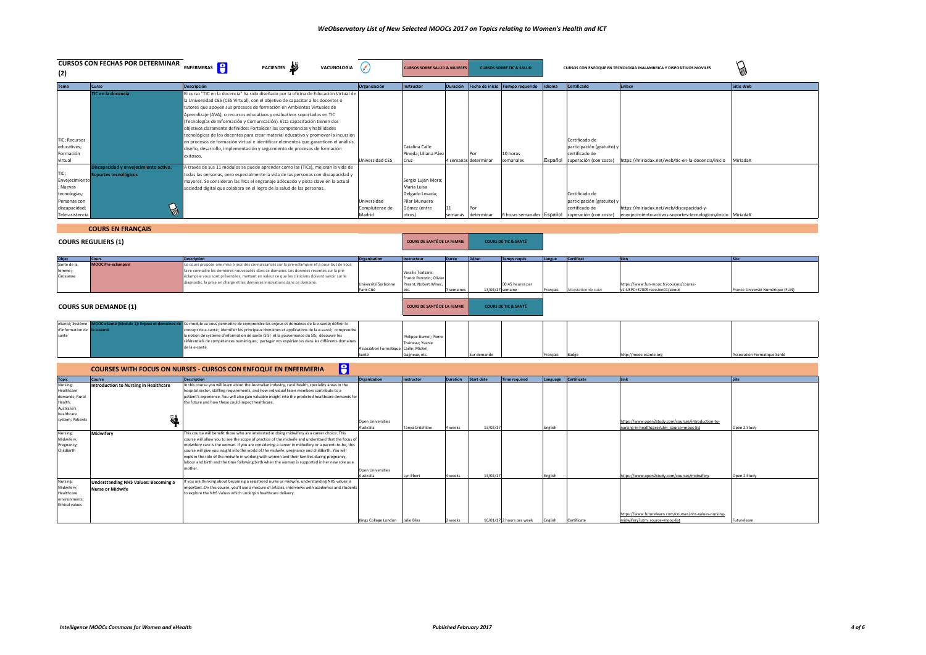| <b>CURSOS CON FECHAS POR DETERMINAR</b><br>(2)                                                       |                                                                              | PACIENTES<br><b>VACUNOLOGIA</b>                                                                                                                                                                                                                                                                                                                                                                                                                                                                                                                                                                                                                                                                                                                                  |                                             | <b>CURSOS SOBRE SALUD &amp; MUJERES</b>                                                         |                            |                             | <b>CURSOS SOBRE TIC &amp; SALUD</b>       |          |                                                                                          | CURSOS CON ENFOQUE EN TECNOLOGIA INALAMBRICA Y DISPOSITIVOS MOVILES                                                                                       | g                                |  |
|------------------------------------------------------------------------------------------------------|------------------------------------------------------------------------------|------------------------------------------------------------------------------------------------------------------------------------------------------------------------------------------------------------------------------------------------------------------------------------------------------------------------------------------------------------------------------------------------------------------------------------------------------------------------------------------------------------------------------------------------------------------------------------------------------------------------------------------------------------------------------------------------------------------------------------------------------------------|---------------------------------------------|-------------------------------------------------------------------------------------------------|----------------------------|-----------------------------|-------------------------------------------|----------|------------------------------------------------------------------------------------------|-----------------------------------------------------------------------------------------------------------------------------------------------------------|----------------------------------|--|
| <b>Tema</b>                                                                                          | Curso                                                                        | Descripción                                                                                                                                                                                                                                                                                                                                                                                                                                                                                                                                                                                                                                                                                                                                                      | Organización                                | Instructor                                                                                      |                            |                             | Duración Fecha de inicio Tiempo requerido | Idioma   | Certificado                                                                              | Enlace                                                                                                                                                    | <b>Sitio Web</b>                 |  |
| <b>TIC</b> ; Recursos<br>educativos;<br>Formación<br>virtual                                         | <b>IIC en la docencia</b>                                                    | El curso "TIC en la docencia" ha sido diseñado por la oficina de Educación Virtual de<br>la Universidad CES (CES Virtual), con el objetivo de capacitar a los docentes o<br>tutores que apoyen sus procesos de formación en Ambientes Virtuales de<br>Aprendizaje (AVA), o recursos educativos y evaluativos soportados en TIC<br>(Tecnologías de Información y Comunicación). Esta capacitación tienen dos<br>objetivos claramente definidos: Fortalecer las competencias y habilidades<br>tecnológicas de los docentes para crear material educativo y promover la incursión<br>en procesos de formación virtual e identificar elementos que garanticen el análisis,<br>diseño, desarrollo, implementación y seguimiento de procesos de formación<br>exitosos. | Universidad CES                             | Catalina Calle<br>Pineda; Liliana Páez<br>Cruz                                                  |                            | Por<br>4 semanas determinar | 10 horas<br>semanales                     | Español  | Certificado de<br>participación (gratuito) y<br>certificado de<br>superación (con coste) | https://miriadax.net/web/tic-en-la-docencia/inicio                                                                                                        | MiriadaX                         |  |
| TIC;<br>Envejecimiento<br>Nuevas<br>tecnologías;<br>Personas con<br>discapacidad;<br>Tele-asistencia | iscapacidad y envejecimiento activo.<br>portes tecnológicos<br>$\mathcal{B}$ | A través de sus 11 módulos se puede aprender como las (TICs), mejoran la vida de<br>todas las personas, pero especialmente la vida de las personas con discapacidad y<br>mayores. Se consideran las TICs el engranaje adecuado y pieza clave en la actual<br>sociedad digital que colabora en el logro de la salud de las personas.                                                                                                                                                                                                                                                                                                                                                                                                                              | Universidad<br>Complutense de<br>Madrid     | Sergio Luján Mora;<br>Maria Luisa<br>Delgado Losada;<br>Pilar Munuera<br>Gómez (entre<br>otros) | 11                         | Por<br>semanas determinar   |                                           |          | Certificado de<br>participación (gratuito) y<br>certificado de                           | https://miriadax.net/web/discapacidad-y-<br>6 horas semanales Español superación (con coste) envejecimiento-activos-soportes-tecnologicos/inicio MiriadaX |                                  |  |
|                                                                                                      | <b>COURS EN FRANÇAIS</b>                                                     |                                                                                                                                                                                                                                                                                                                                                                                                                                                                                                                                                                                                                                                                                                                                                                  |                                             |                                                                                                 |                            |                             |                                           |          |                                                                                          |                                                                                                                                                           |                                  |  |
|                                                                                                      | <b>COURS REGULIERS (1)</b>                                                   |                                                                                                                                                                                                                                                                                                                                                                                                                                                                                                                                                                                                                                                                                                                                                                  |                                             | <b>COURS DE SANTÉ DE LA FEMME</b>                                                               |                            |                             | <b>COURS DE TIC &amp; SANTÉ</b>           |          |                                                                                          |                                                                                                                                                           |                                  |  |
| Objet                                                                                                | <b>Cours</b>                                                                 | <b>Description</b>                                                                                                                                                                                                                                                                                                                                                                                                                                                                                                                                                                                                                                                                                                                                               | <b>Organisation</b>                         | instructeur                                                                                     | Durée                      | Début                       | <b>Temps requis</b>                       | Langue   | Certificat                                                                               |                                                                                                                                                           |                                  |  |
| Santé de la<br>emme:<br>Grossesse                                                                    | <b>MOOC Pre-eclampsie</b>                                                    | Ce cours propose une mise à jour des connaissances sur la pré-éclampsie et a pour but de vous<br>faire connaitre les dernières nouveautés dans ce domaine. Les données récentes sur la pré-<br>éclampsie vous sont présentées, mettant en valeur ce que les cliniciens doivent savoir sur le<br>diagnostic, la prise en charge et les dernières innovations dans ce domaine                                                                                                                                                                                                                                                                                                                                                                                      | Université Sorbonne<br>Paris Cité           | Vassilis Tsatsaris;<br>Franck Perrotin; Olivie<br>Parant: Nobert Winer                          | ' semaines                 | 13/02/17 semaine            | 00:45 heures par                          | Français | Attestation de suiv                                                                      | https://www.fun-mooc.fr/courses/course-<br>v1:USPC+37009+session01/about                                                                                  | France Universié Numérique (FUN) |  |
|                                                                                                      | <b>COURS SUR DEMANDE (1)</b>                                                 |                                                                                                                                                                                                                                                                                                                                                                                                                                                                                                                                                                                                                                                                                                                                                                  |                                             | <b>COURS DE SANTÉ DE LA FEMME</b>                                                               |                            |                             | <b>COURS DE TIC &amp; SANTÉ</b>           |          |                                                                                          |                                                                                                                                                           |                                  |  |
| eSanté; Système<br>d'information de<br>santé                                                         |                                                                              | 100C eSanté (Module 1): Enjeux et domaines de Ce module va vous permettre de comprendre les enjeux et domaines de la e-santé; définir le<br>oncept de e-santé: identifier les principaux domaines et applications de la e-santé: comprendre<br>a notion de système d'information de santé (SIS) et la gouvernance du SIS; découvrir les<br>référentiels de compétences numériques; partager vos expériences dans les différents domaines<br>de la e-santé                                                                                                                                                                                                                                                                                                        | <b>Association Formatique</b><br>Santé      | Philippe Burnel; Pierre<br>Traineau: Yvanie<br>Caille; Michel<br>Gagneux, etc                   |                            | Sur demande                 |                                           | Français | Badge                                                                                    | http://mooc-esante.org                                                                                                                                    | ssociation Formatique Santé      |  |
|                                                                                                      |                                                                              | 18<br><b>COURSES WITH FOCUS ON NURSES - CURSOS CON ENFOQUE EN ENFERMERIA</b>                                                                                                                                                                                                                                                                                                                                                                                                                                                                                                                                                                                                                                                                                     |                                             |                                                                                                 |                            |                             |                                           |          |                                                                                          |                                                                                                                                                           |                                  |  |
| <b>Topic</b>                                                                                         | Course                                                                       | <b>Description</b>                                                                                                                                                                                                                                                                                                                                                                                                                                                                                                                                                                                                                                                                                                                                               | <b>Organization</b>                         | <b>structo</b>                                                                                  | <b>Duration</b> Start date |                             | <b>Time rea</b>                           |          | Language Certificate                                                                     |                                                                                                                                                           |                                  |  |
| Nursing;<br>Healthcare<br>demands: Rural<br>Health;<br>Australia's<br>healthcare<br>system; Patients | <b>Introduction to Nursing in Healthcare</b><br>ψ                            | n this course you will learn about the Australian industry, rural health, speciality areas in the<br>ospital sector, staffing requirements, and how individual team members contribute to a<br>patient's experience. You will also gain valuable insight into the predicted healthcare demands for<br>the future and how these could impact healthcare.                                                                                                                                                                                                                                                                                                                                                                                                          | <b>Open Universities</b><br>Australia       | <b>Tanya Critchlow</b>                                                                          | 4 weeks                    | 13/02/17                    |                                           | English  |                                                                                          | https://www.open2study.com/courses/introduction-to-<br>nursing-in-healthcare?utm_source=mooc-list                                                         | Open 2 Study                     |  |
| Nursing;<br>Midwiferv:<br>Pregnancy:<br>Childbirth                                                   | Midwifery                                                                    | This course will benefit those who are interested in doing midwifery as a career choice. This<br>course will allow you to see the scope of practice of the midwife and understand that the focus of<br>nidwifery care is the woman. If you are considering a career in midwifery or a parent-to-be, this<br>course will give you insight into the world of the midwife, pregnancy and childbirth. You will<br>explore the role of the midwife in working with women and their families during pregnancy,<br>labour and birth and the time following birth when the woman is supported in her new role as a<br>mother.                                                                                                                                            | <b>Open Universities</b><br><b>ustralia</b> | Lyn Ebert                                                                                       | 4 weeks                    | 13/02/1                     |                                           | English  |                                                                                          | ps://www.open2studv.com/courses/midwifer                                                                                                                  | Open 2 Study                     |  |
| Nursing;<br>Midwiferv:<br>Healthcare<br>environments;<br><b>Ethical values</b>                       | <b>Understanding NHS Values: Becoming a</b><br><b>Nurse or Midwife</b>       | If you are thinking about becoming a registered nurse or midwife, understanding NHS values is<br>mportant. On this course, you'll use a mixture of articles, interviews with academics and student<br>to explore the NHS Values which underpin healthcare delivery.                                                                                                                                                                                                                                                                                                                                                                                                                                                                                              | Kings College London                        | <b>Julie Bliss</b>                                                                              | 2 weeks                    |                             | 16/01/17 2 hours per week                 | English  | Certificate                                                                              | https://www.futurelearn.com/courses/nhs-values-nursing-<br>midwifery?utm_source=mooc-list                                                                 | Futurelearn                      |  |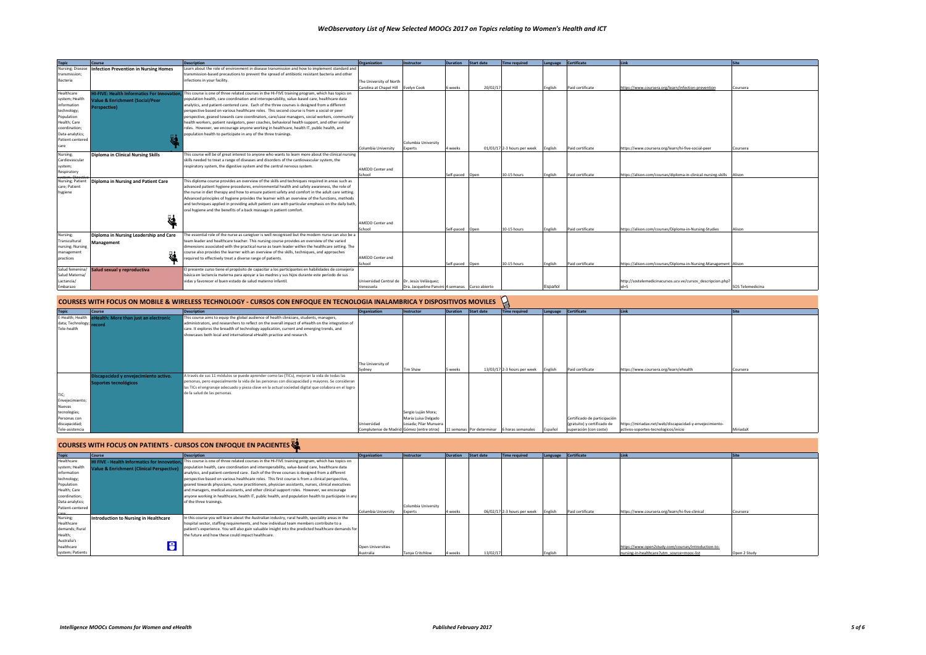#### *WeObservatory List of New Selected MOOCs 2017 on Topics relating to Women's Health and ICT*

| <b>Topic</b>     | Course                                            | <b>Description</b>                                                                                 | Organization                                | Instructor                                      | <b>Duration</b> | Start date | <b>Time required</b>        |         | Language Certificate | Link                                                                 | <b>Site</b>      |
|------------------|---------------------------------------------------|----------------------------------------------------------------------------------------------------|---------------------------------------------|-------------------------------------------------|-----------------|------------|-----------------------------|---------|----------------------|----------------------------------------------------------------------|------------------|
| Nursing; Disease | <b>Infection Prevention in Nursing Homes</b>      | Learn about the role of environment in disease transmission and how to implement standard and      |                                             |                                                 |                 |            |                             |         |                      |                                                                      |                  |
| transmission;    |                                                   | transmission-based precautions to prevent the spread of antibiotic resistant bacteria and other    |                                             |                                                 |                 |            |                             |         |                      |                                                                      |                  |
| Bacteria         |                                                   | infections in your facility.                                                                       | The University of North                     |                                                 |                 |            |                             |         |                      |                                                                      |                  |
|                  |                                                   |                                                                                                    | Carolina at Chapel Hill Evelyn Cook         |                                                 | 6 weeks         | 20/02/17   |                             | English | Paid certificate     | ttps://www.coursera.org/learn/infection-prevention                   | Coursera         |
| Healthcare       | <b>II-FIVE: Health Informatics For Innovation</b> | This course is one of three related courses in the HI-FIVE training program, which has topics on   |                                             |                                                 |                 |            |                             |         |                      |                                                                      |                  |
| system; Health   | alue & Enrichment (Social/Peer                    | population health, care coordination and interoperability, value-based care, healthcare data       |                                             |                                                 |                 |            |                             |         |                      |                                                                      |                  |
| information      |                                                   | analytics, and patient-centered care. Each of the three courses is designed from a different       |                                             |                                                 |                 |            |                             |         |                      |                                                                      |                  |
| technology;      | erspective)                                       | perspective based on various healthcare roles. This second course is from a social or peer         |                                             |                                                 |                 |            |                             |         |                      |                                                                      |                  |
| Population       |                                                   | perspective, geared towards care coordinators, care/case managers, social workers, community       |                                             |                                                 |                 |            |                             |         |                      |                                                                      |                  |
| Health; Care     |                                                   | health workers, patient navigators, peer coaches, behavioral health support, and other similar     |                                             |                                                 |                 |            |                             |         |                      |                                                                      |                  |
| coordination;    |                                                   | roles. However, we encourage anyone working in healthcare, health IT, public health, and           |                                             |                                                 |                 |            |                             |         |                      |                                                                      |                  |
| Data-analytics:  |                                                   | population health to participate in any of the three trainings.                                    |                                             |                                                 |                 |            |                             |         |                      |                                                                      |                  |
| Patient-centered |                                                   |                                                                                                    |                                             | Columbia University                             |                 |            |                             |         |                      |                                                                      |                  |
| care             |                                                   |                                                                                                    | Columbia University                         | Experts                                         | 4 weeks         |            | 01/03/17 2-3 hours per week | English | Paid certificate     | https://www.coursera.org/learn/hi-five-social-peer                   | Coursera         |
| Nursing:         | Diploma in Clinical Nursing Skills                | This course will be of great interest to anyone who wants to learn more about the clinical nursing |                                             |                                                 |                 |            |                             |         |                      |                                                                      |                  |
| Cardiovascular   |                                                   | skills needed to treat a range of diseases and disorders of the cardiovascular system, the         |                                             |                                                 |                 |            |                             |         |                      |                                                                      |                  |
| system;          |                                                   | respiratory system, the digestive system and the central nervous system.                           |                                             |                                                 |                 |            |                             |         |                      |                                                                      |                  |
| Respiratory      |                                                   |                                                                                                    | <b>AMEDD Center and</b>                     |                                                 |                 |            |                             |         |                      |                                                                      |                  |
|                  |                                                   |                                                                                                    | School                                      |                                                 | Self-paced Open |            | 10-15 hours                 | English | Paid certificate     | https://alison.com/courses/diploma-in-clinical-nursing-skills Alison |                  |
| Nursing; Patient | Diploma in Nursing and Patient Care               | This diploma course provides an overview of the skills and techniques required in areas such as    |                                             |                                                 |                 |            |                             |         |                      |                                                                      |                  |
| care; Patient    |                                                   | advanced patient hygiene procedures, environmental health and safety awareness, the role of        |                                             |                                                 |                 |            |                             |         |                      |                                                                      |                  |
| hygiene          |                                                   | the nurse in diet therapy and how to ensure patient safety and comfort in the adult care setting.  |                                             |                                                 |                 |            |                             |         |                      |                                                                      |                  |
|                  |                                                   | Advanced principles of hygiene provides the learner with an overview of the functions, methods     |                                             |                                                 |                 |            |                             |         |                      |                                                                      |                  |
|                  |                                                   | and techniques applied in providing adult patient care with particular emphasis on the daily bath, |                                             |                                                 |                 |            |                             |         |                      |                                                                      |                  |
|                  |                                                   | oral hygiene and the benefits of a back massage in patient comfort.                                |                                             |                                                 |                 |            |                             |         |                      |                                                                      |                  |
|                  | ä                                                 |                                                                                                    |                                             |                                                 |                 |            |                             |         |                      |                                                                      |                  |
|                  |                                                   |                                                                                                    | AMEDD Center and                            |                                                 |                 |            |                             |         |                      |                                                                      |                  |
|                  |                                                   |                                                                                                    | School                                      |                                                 | Self-paced Open |            | 10-15 hours                 | English | Paid certificate     | nttps://alison.com/courses/Diploma-in-Nursing-Studies                | Alison           |
| Nursing:         | Diploma in Nursing Leadership and Care            | The essential role of the nurse as caregiver is well recognised but the modern nurse can also be a |                                             |                                                 |                 |            |                             |         |                      |                                                                      |                  |
| Transcultural    | Management                                        | team leader and healthcare teacher. This nursing course provides an overview of the varied         |                                             |                                                 |                 |            |                             |         |                      |                                                                      |                  |
| nursing; Nursing |                                                   | dimensions associated with the practical nurse as team leader within the healthcare setting. The   |                                             |                                                 |                 |            |                             |         |                      |                                                                      |                  |
| management       |                                                   | course also provides the learner with an overview of the skills, techniques, and approaches        |                                             |                                                 |                 |            |                             |         |                      |                                                                      |                  |
| practices        |                                                   | required to effectively treat a diverse range of patients.                                         | <b>AMEDD Center and</b>                     |                                                 |                 |            |                             |         |                      |                                                                      |                  |
|                  |                                                   |                                                                                                    | School                                      |                                                 | Self-paced Open |            | 10-15 hours                 | English | Paid certificate     | nttps://alison.com/courses/Diploma-in-Nursing-Management Alison      |                  |
| Salud femenina   | Salud sexual y reproductiva                       | Il presente curso tiene el propósito de capacitar a los participantes en habilidades de consejería |                                             |                                                 |                 |            |                             |         |                      |                                                                      |                  |
| Salud Materna    |                                                   | básica en lactancia materna para apoyar a las madres y sus hijos durante este período de sus       |                                             |                                                 |                 |            |                             |         |                      |                                                                      |                  |
| Lactancia/       |                                                   | vidas y favorecer el buen estado de salud materno infantil.                                        | Universidad Central de Dr. Jesús Velásquez; |                                                 |                 |            |                             |         |                      | http://sostelemedicinacursos.ucv.ve/cursos_descripcion.php?          |                  |
| Embarazo         |                                                   |                                                                                                    | Venezuela                                   | Dra. Jacqueline Panvini 4 semanas Curso abierto |                 |            |                             | Español |                      |                                                                      | SOS Telemedicina |

### **COURSES WITH FOCUS ON MOBILE & WIRELESS TECHNOLOGY - CURSOS CON ENFOQUE EN TECNOLOGIA INALAMBRICA Y DISPOSITIVOS MOVILES**

| <b>Topic</b>              | <b>Course</b>                                          | <b>Description</b>                                                                                  | Organization                              | Instructor            | Duration | Start date | <b>Time required</b>                        |         | Language Certificate         | ll ink                                                  | -ISite   |
|---------------------------|--------------------------------------------------------|-----------------------------------------------------------------------------------------------------|-------------------------------------------|-----------------------|----------|------------|---------------------------------------------|---------|------------------------------|---------------------------------------------------------|----------|
|                           | E-Health; Health eHealth: More than just an electronic | This course aims to equip the global audience of health clinicians, students, managers,             |                                           |                       |          |            |                                             |         |                              |                                                         |          |
| data; Technology; record. |                                                        | administrators, and researchers to reflect on the overall impact of eHealth on the integration of   |                                           |                       |          |            |                                             |         |                              |                                                         |          |
| Tele-health               |                                                        | care. It explores the breadth of technology application, current and emerging trends, and           |                                           |                       |          |            |                                             |         |                              |                                                         |          |
|                           |                                                        | showcases both local and international eHealth practice and research.                               |                                           |                       |          |            |                                             |         |                              |                                                         |          |
|                           |                                                        |                                                                                                     |                                           |                       |          |            |                                             |         |                              |                                                         |          |
|                           |                                                        |                                                                                                     |                                           |                       |          |            |                                             |         |                              |                                                         |          |
|                           |                                                        |                                                                                                     |                                           |                       |          |            |                                             |         |                              |                                                         |          |
|                           |                                                        |                                                                                                     |                                           |                       |          |            |                                             |         |                              |                                                         |          |
|                           |                                                        |                                                                                                     | The University of                         |                       |          |            |                                             |         |                              |                                                         |          |
|                           |                                                        |                                                                                                     | Sydney                                    | Tim Shaw              | 5 weeks  |            | 13/03/17 2-3 hours per week                 | English | Paid certificate             | https://www.coursera.org/learn/ehealth                  | Coursera |
|                           | Discapacidad y envejecimiento activo.                  | A través de sus 11 módulos se puede aprender como las (TICs), mejoran la vida de todas las          |                                           |                       |          |            |                                             |         |                              |                                                         |          |
|                           | Soportes tecnológicos                                  | personas, pero especialmente la vida de las personas con discapacidad y mayores. Se consideran      |                                           |                       |          |            |                                             |         |                              |                                                         |          |
|                           |                                                        | las TICs el engranaje adecuado y pieza clave en la actual sociedad digital que colabora en el logro |                                           |                       |          |            |                                             |         |                              |                                                         |          |
| TIC;                      |                                                        | de la salud de las personas.                                                                        |                                           |                       |          |            |                                             |         |                              |                                                         |          |
| Envejecimiento;           |                                                        |                                                                                                     |                                           |                       |          |            |                                             |         |                              |                                                         |          |
| Nuevas                    |                                                        |                                                                                                     |                                           |                       |          |            |                                             |         |                              |                                                         |          |
| tecnologías;              |                                                        |                                                                                                     |                                           | Sergio Luján Mora;    |          |            |                                             |         |                              |                                                         |          |
| Personas con              |                                                        |                                                                                                     |                                           | Maria Luisa Delgado   |          |            |                                             |         | Certificado de participación |                                                         |          |
| discapacidad;             |                                                        |                                                                                                     | Universidad                               | Losada: Pilar Munuera |          |            |                                             |         | (gratuito) y certificado de  | https://miriadax.net/web/discapacidad-y-envejecimiento- |          |
| Tele-asistencia           |                                                        |                                                                                                     | Complutense de Madrid Gómez (entre otros) |                       |          |            | 11 semanas Por determinar 6 horas semanales | Español | superación (con coste)       | activos-soportes-tecnologicos/inicio                    | MiriadaX |

#### **COURSES WITH FOCUS ON PATIENTS - CURSOS CON ENFOQUE EN PACIENTES Topic Course Description Organization Instructor Duration Start date Time required Language Certificate Link Site** his course is one of three related courses in the HI-FIVE training program, which has topics on Healthcare **HIVE** - Health Informatics for In system; Health pulation health, care coordination and interoperability, value-based care, healthcare data **Value & Enrichment (Clinical Perspective)** information analytics, and patient-centered care. Each of the three courses is designed from a different<br>perspective based on various healthcare roles. This first course is from a clinical perspective, ..............<br>echnology; Population gearms access an interactional manners in the material control and annual perspective,<br>red towards physicians, nurse practitioners, physician assistants, nurses, clinical executive Health; Care and managers, medical assistants, and other clinical support roles. However, we encourage<br>anyone working in healthcare, health IT, public health, and population health to participate in any coordination; Data-analytics; of the three trainings. Columbia University<br>|xnerts .<br>Patient-center  $0.6/02/17$  2-3 hours per week English Paid certificate https://www.coursera.org/learn/hi-five-clinical Columbia University care Nursing; **Introduction to Nursing in Healthcare** In this course you will learn about the Australian industry, rural health, speciality areas in the Healthcare hospital sector, staffing requirements, and how individual team members contribute to a<br>patient's experience. You will also gain valuable insight into the predicted healthcare demands for demands; Rural .........<br>Health; the future and how these could impact healthcare. Australia's 8 healthcare pen Universities<br>ustralia https://www.open2study.com/courses/introduction-tosystem; Pat thcare?utm\_source=mooc-list Open 2 Study

Australia Tanya Critchlow 4 weeks 13/02/17 English